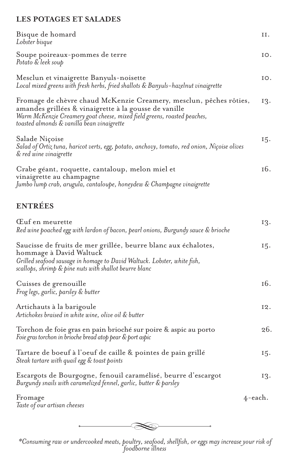## **LES POTAGES ET SALADES**

| Bisque de homard<br>Lobster bisque                                                                                                                                                                                                                    | Η.         |
|-------------------------------------------------------------------------------------------------------------------------------------------------------------------------------------------------------------------------------------------------------|------------|
| Soupe poireaux-pommes de terre<br>Potato & leek soup                                                                                                                                                                                                  | IO.        |
| Mesclun et vinaigrette Banyuls-noisette<br>Local mixed greens with fresh herbs, fried shallots & Banyuls-hazelnut vinaigrette                                                                                                                         | IO.        |
| Fromage de chèvre chaud McKenzie Creamery, mesclun, pêches rôties,<br>amandes grillées & vinaigrette à la gousse de vanille<br>Warm McKenzie Creamery goat cheese, mixed field greens, roasted peaches,<br>toasted almonds & vanilla bean vinaigrette | 13.        |
| Salade Niçoise<br>Salad of Ortiz tuna, haricot verts, egg, potato, anchovy, tomato, red onion, Niçoise olives<br>& red wine vinaigrette                                                                                                               | 15.        |
| Crabe géant, roquette, cantaloup, melon miel et                                                                                                                                                                                                       | 16.        |
| vinaigrette au champagne<br>Jumbo lump crab, arugula, cantaloupe, honeydew & Champagne vinaigrette                                                                                                                                                    |            |
| <b>ENTRÉES</b>                                                                                                                                                                                                                                        |            |
| Euf en meurette<br>Red wine poached egg with lardon of bacon, pearl onions, Burgundy sauce & brioche                                                                                                                                                  | 13.        |
| Saucisse de fruits de mer grillée, beurre blanc aux échalotes,<br>hommage à David Waltuck<br>Grilled seafood sausage in homage to David Waltuck. Lobster, white fish,<br>scallops, shrimp & pine nuts with shallot beurre blanc                       | 15.        |
| Cuisses de grenouille<br>Frog legs, garlic, parsley & butter                                                                                                                                                                                          | 16.        |
| Artichauts à la barigoule<br>Artichokes braised in white wine, olive oil & butter                                                                                                                                                                     | 12.        |
| Torchon de foie gras en pain brioché sur poire & aspic au porto<br>Foie gras torchon in brioche bread atop pear & port aspic                                                                                                                          | 26.        |
| Tartare de boeuf à l'oeuf de caille & pointes de pain grillé<br>Steak tartare with quail egg & toast points                                                                                                                                           | 15.        |
| Escargots de Bourgogne, fenouil caramélisé, beurre d'escargot<br>Burgundy snails with caramelized fennel, garlic, butter & parsley                                                                                                                    | 13.        |
| Fromage<br>Taste of our artisan cheeses                                                                                                                                                                                                               | $4$ -each. |



*\*Consuming raw or undercooked meats, poultry, seafood, shellfish, or eggs may increase your risk of foodborne illness*